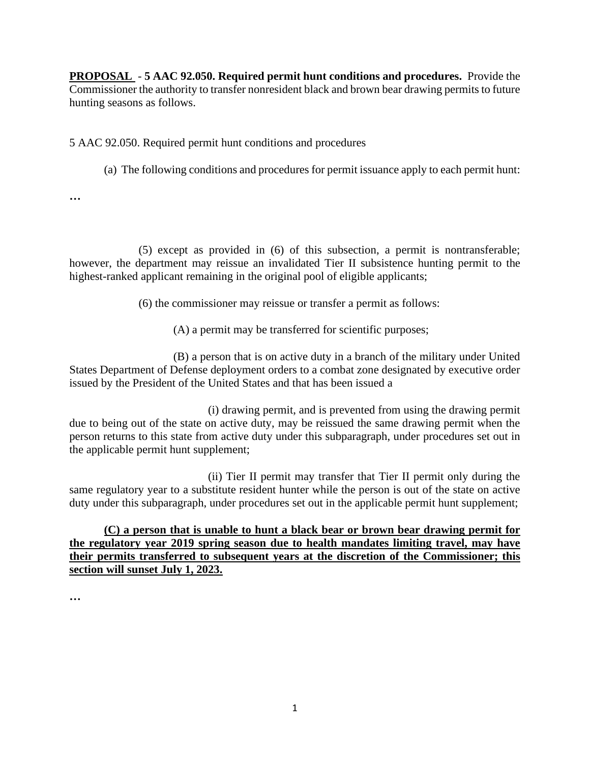**PROPOSAL** - **5 AAC 92.050. Required permit hunt conditions and procedures.** Provide the hunting seasons as follows. Commissioner the authority to transfer nonresident black and brown bear drawing permits to future

5 AAC 92.050. Required permit hunt conditions and procedures

(a) The following conditions and procedures for permit issuance apply to each permit hunt:

**…** 

highest-ranked applicant remaining in the original pool of eligible applicants;<br>(6) the commissioner may reissue or transfer a permit as follows: (5) except as provided in (6) of this subsection, a permit is nontransferable; however, the department may reissue an invalidated Tier II subsistence hunting permit to the

(A) a permit may be transferred for scientific purposes;

(B) a person that is on active duty in a branch of the military under United States Department of Defense deployment orders to a combat zone designated by executive order issued by the President of the United States and that has been issued a

the applicable permit hunt supplement; (i) drawing permit, and is prevented from using the drawing permit due to being out of the state on active duty, may be reissued the same drawing permit when the person returns to this state from active duty under this subparagraph, under procedures set out in

(ii) Tier II permit may transfer that Tier II permit only during the same regulatory year to a substitute resident hunter while the person is out of the state on active duty under this subparagraph, under procedures set out in the applicable permit hunt supplement;

**(C) a person that is unable to hunt a black bear or brown bear drawing permit for the regulatory year 2019 spring season due to health mandates limiting travel, may have their permits transferred to subsequent years at the discretion of the Commissioner; this section will sunset July 1, 2023.** 

**…**